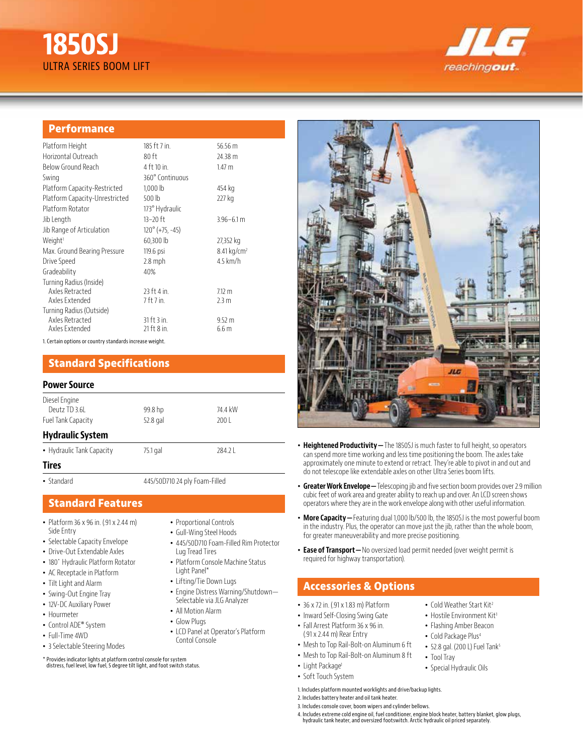# **1850SJ**  ULTRA SERIES BOOM LIFT



#### **Performance**

| Platform Height                | 185 ft 7 in.             | 56.56 $m$               |
|--------------------------------|--------------------------|-------------------------|
| Horizontal Outreach            | $80$ ft                  | 24.38 m                 |
| Below Ground Reach             | 4 ft 10 in.              | 1.47 m                  |
| Swing                          | 360° Continuous          |                         |
| Platform Capacity-Restricted   | 1,000 lb                 | 454 kg                  |
| Platform Capacity-Unrestricted | $500$ lb                 | 227 kg                  |
| Platform Rotator               | 173° Hydraulic           |                         |
| Jib Length                     | 13-20 ft                 | $3.96 - 6.1$ m          |
| Jib Range of Articulation      | $120^{\circ}$ (+75, -45) |                         |
| Weight <sup>1</sup>            | 60,300 lb                | 27,352 kg               |
| Max. Ground Bearing Pressure   | 119.6 psi                | 8.41 kg/cm <sup>2</sup> |
| Drive Speed                    | $2.8$ mph                | $4.5$ km/h              |
| Gradeability                   | 40%                      |                         |
| Turning Radius (Inside)        |                          |                         |
| Axles Retracted                | 23 ft 4 in.              | 7.12 m                  |
| Axles Extended                 | 7 ft 7 in.               | 2.3 <sub>m</sub>        |
| Turning Radius (Outside)       |                          |                         |
| Axles Retracted                | $31$ ft $3$ in.          | $9.52 \text{ m}$        |
| Axles Extended                 | 21 ft 8 in.              | 6.6 <sub>m</sub>        |

1. Certain options or country standards increase weight.

#### **Standard Specifications**

#### **Power Source**

| Diesel Engine<br>Deutz TD 3.6L<br>74.4 kW<br>99.8 hp<br>52.8 gal<br>Fuel Tank Capacity<br>2001<br><b>Hydraulic System</b><br>• Hydraulic Tank Capacity<br>75.1 gal<br>284.21<br><b>Tires</b> | . |  |
|----------------------------------------------------------------------------------------------------------------------------------------------------------------------------------------------|---|--|
|                                                                                                                                                                                              |   |  |
|                                                                                                                                                                                              |   |  |
|                                                                                                                                                                                              |   |  |
|                                                                                                                                                                                              |   |  |
|                                                                                                                                                                                              |   |  |

• Standard 445/50D710 24 ply Foam-Filled

## **Standard Features**

- Platform 36 x 96 in. (.91 x 2.44 m) Side Entry
- Selectable Capacity Envelope
- Drive-Out Extendable Axles
- 180˚ Hydraulic Platform Rotator
- AC Receptacle in Platform
- Tilt Light and Alarm
- Swing-Out Engine Tray
- 12V-DC Auxiliary Power
- Hourmeter
- Control ADE® System
- Full-Time 4WD
- 3 Selectable Steering Modes

\* Provides indicator lights at platform control console for system distress, fuel level, low fuel, 5 degree tilt light, and foot switch status.

- Proportional Controls
- Gull-Wing Steel Hoods
- 445/50D710 Foam-Filled Rim Protector Lug Tread Tires • Platform Console Machine Status
- Light Panel\*
- Lifting/Tie Down Lugs
- Engine Distress Warning/Shutdown— Selectable via JLG Analyzer
- All Motion Alarm
- Glow Plugs
- LCD Panel at Operator's Platform Contol Console
- 
- -
	- Light Package<sup>1</sup>
	- Soft Touch System
	- 1. Includes platform mounted worklights and drive/backup lights.
	- 2. Includes battery heater and oil tank heater.
	- 3. Includes console cover, boom wipers and cylinder bellows.
	- 4. Includes extreme cold engine oil, fuel conditioner, engine block heater, battery blanket, glow plugs, hydraulic tank heater, and oversized footswitch. Arctic hydraulic oil priced separately.



- **Heightened Productivity—**The 1850SJ is much faster to full height, so operators can spend more time working and less time positioning the boom. The axles take approximately one minute to extend or retract. They're able to pivot in and out and do not telescope like extendable axles on other Ultra Series boom lifts.
- **Greater Work Envelope—**Telescoping jib and five section boom provides over 2.9 million cubic feet of work area and greater ability to reach up and over. An LCD screen shows operators where they are in the work envelope along with other useful information.
- **More Capacity** Featuring dual 1,000 lb/500 lb, the 1850SJ is the most powerful boom in the industry. Plus, the operator can move just the jib, rather than the whole boom, for greater maneuverability and more precise positioning.
- **Ease of Transport—**No oversized load permit needed (over weight permit is required for highway transportation).

## **Accessories & Options**

- 36 x 72 in. (.91 x 1.83 m) Platform
- Inward Self-Closing Swing Gate
- Fall Arrest Platform 36 x 96 in. (.91 x 2.44 m) Rear Entry
- Mesh to Top Rail-Bolt-on Aluminum 6 ft
- Mesh to Top Rail-Bolt-on Aluminum 8 ft
	- Tool Tray
		- Special Hydraulic Oils

• Cold Weather Start Kit<sup>2</sup> • Hostile Environment Kit<sup>3</sup> • Flashing Amber Beacon • Cold Package Plus<sup>4</sup>  $\bullet$  52.8 gal. (200 L) Fuel Tank<sup>5</sup>

- 
-